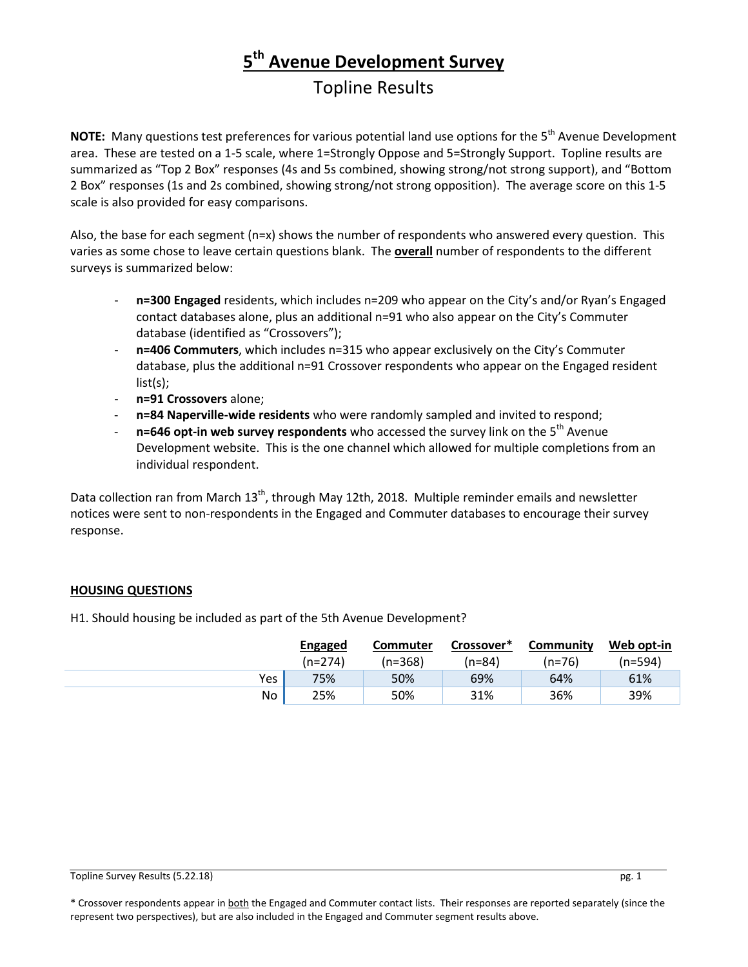# **5th Avenue Development Survey**

## Topline Results

**NOTE:** Many questions test preferences for various potential land use options for the 5<sup>th</sup> Avenue Development area. These are tested on a 1-5 scale, where 1=Strongly Oppose and 5=Strongly Support. Topline results are summarized as "Top 2 Box" responses (4s and 5s combined, showing strong/not strong support), and "Bottom 2 Box" responses (1s and 2s combined, showing strong/not strong opposition). The average score on this 1-5 scale is also provided for easy comparisons.

Also, the base for each segment (n=x) shows the number of respondents who answered every question. This varies as some chose to leave certain questions blank. The **overall** number of respondents to the different surveys is summarized below:

- n=300 Engaged residents, which includes n=209 who appear on the City's and/or Ryan's Engaged contact databases alone, plus an additional n=91 who also appear on the City's Commuter database (identified as "Crossovers");
- n=406 Commuters, which includes n=315 who appear exclusively on the City's Commuter database, plus the additional n=91 Crossover respondents who appear on the Engaged resident list(s);
- **n=91 Crossovers** alone;
- **n=84 Naperville-wide residents** who were randomly sampled and invited to respond;
- **n=646 opt-in web survey respondents** who accessed the survey link on the 5<sup>th</sup> Avenue Development website. This is the one channel which allowed for multiple completions from an individual respondent.

Data collection ran from March 13<sup>th</sup>, through May 12th, 2018. Multiple reminder emails and newsletter notices were sent to non-respondents in the Engaged and Commuter databases to encourage their survey response.

### **HOUSING QUESTIONS**

H1. Should housing be included as part of the 5th Avenue Development?

|     | <b>Engaged</b> | <b>Commuter</b> | Crossover* | Community | Web opt-in |
|-----|----------------|-----------------|------------|-----------|------------|
|     | (n=274)        | (n=368)         | (n=84)     | $(n=76)$  | (n=594)    |
| Yes | 75%            | 50%             | 69%        | 64%       | 61%        |
| No. | 25%            | 50%             | 31%        | 36%       | 39%        |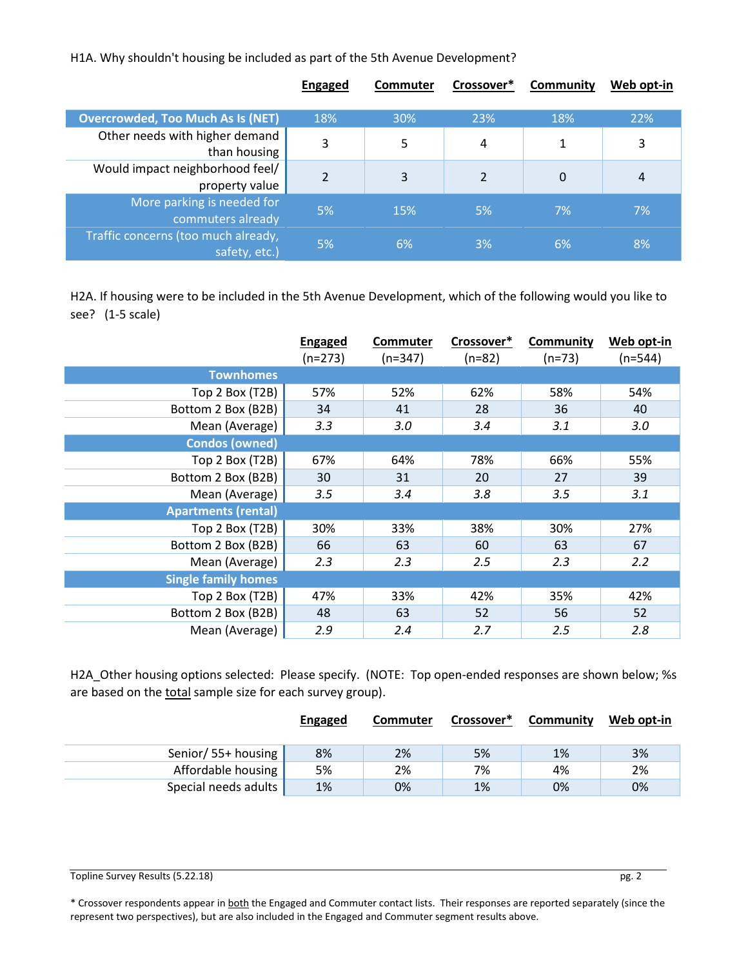H1A. Why shouldn't housing be included as part of the 5th Avenue Development?

|                                                      | <b>Engaged</b> | Commuter | Crossover*     | Community | Web opt-in |
|------------------------------------------------------|----------------|----------|----------------|-----------|------------|
| <b>Overcrowded, Too Much As Is (NET)</b>             | 18%            | 30%      | 23%            | 18%       | 22%        |
| Other needs with higher demand<br>than housing       | 3              | 5        | 4              | 1         | 3          |
| Would impact neighborhood feel/<br>property value    | $\overline{2}$ | 3        | $\overline{2}$ | 0         | 4          |
| More parking is needed for<br>commuters already      | 5%             | 15%      | 5%             | 7%        | 7%         |
| Traffic concerns (too much already,<br>safety, etc.) | 5%             | 6%       | 3%             | 6%        | 8%         |

H2A. If housing were to be included in the 5th Avenue Development, which of the following would you like to see? (1-5 scale)

|                            | <b>Engaged</b> | <b>Commuter</b> | Crossover* | <b>Community</b> | Web opt-in |
|----------------------------|----------------|-----------------|------------|------------------|------------|
|                            | $(n=273)$      | $(n=347)$       | $(n=82)$   | $(n=73)$         | $(n=544)$  |
| <b>Townhomes</b>           |                |                 |            |                  |            |
| Top 2 Box (T2B)            | 57%            | 52%             | 62%        | 58%              | 54%        |
| Bottom 2 Box (B2B)         | 34             | 41              | 28         | 36               | 40         |
| Mean (Average)             | 3.3            | 3.0             | 3.4        | 3.1              | 3.0        |
| <b>Condos (owned)</b>      |                |                 |            |                  |            |
| Top 2 Box (T2B)            | 67%            | 64%             | 78%        | 66%              | 55%        |
| Bottom 2 Box (B2B)         | 30             | 31              | 20         | 27               | 39         |
| Mean (Average)             | 3.5            | 3.4             | 3.8        | 3.5              | 3.1        |
| <b>Apartments (rental)</b> |                |                 |            |                  |            |
| Top 2 Box (T2B)            | 30%            | 33%             | 38%        | 30%              | 27%        |
| Bottom 2 Box (B2B)         | 66             | 63              | 60         | 63               | 67         |
| Mean (Average)             | 2.3            | 2.3             | 2.5        | 2.3              | 2.2        |
| <b>Single family homes</b> |                |                 |            |                  |            |
| Top 2 Box (T2B)            | 47%            | 33%             | 42%        | 35%              | 42%        |
| Bottom 2 Box (B2B)         | 48             | 63              | 52         | 56               | 52         |
| Mean (Average)             | 2.9            | 2.4             | 2.7        | 2.5              | 2.8        |

H2A\_Other housing options selected: Please specify. (NOTE: Top open-ended responses are shown below; %s are based on the total sample size for each survey group).

|                      | <b>Engaged</b> | Commuter | Crossover* | Community | Web opt-in |
|----------------------|----------------|----------|------------|-----------|------------|
| Senior/ 55+ housing  | 8%             | 2%       | 5%         | 1%        | 3%         |
| Affordable housing   | 5%             | 2%       | 7%         | 4%        | 2%         |
| Special needs adults | 1%             | 0%       | 1%         | 0%        | 0%         |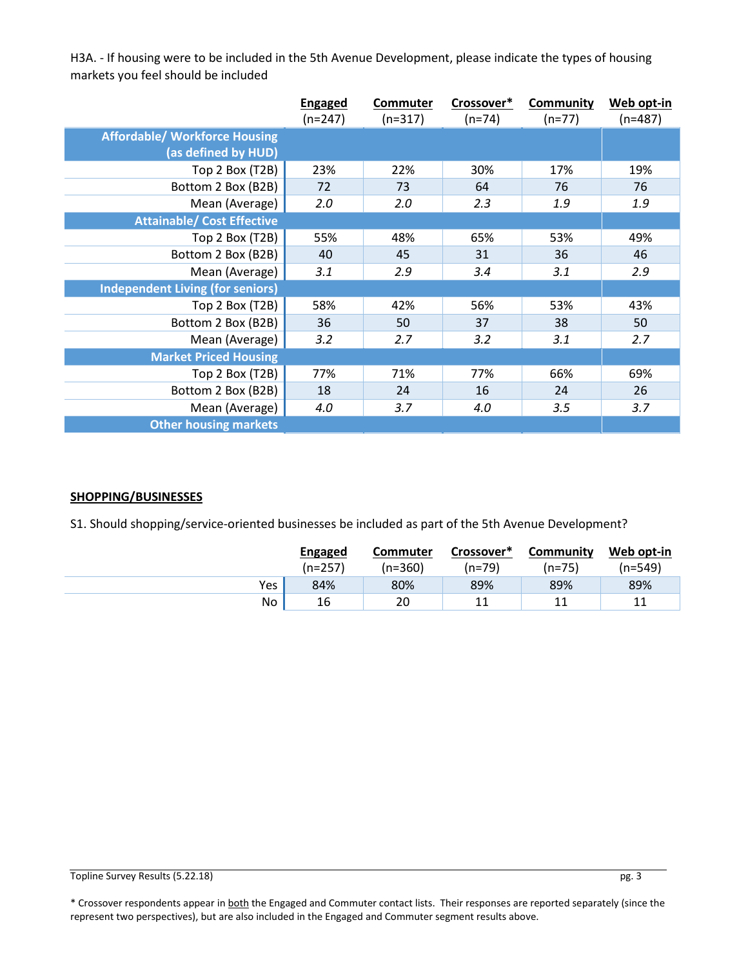H3A. - If housing were to be included in the 5th Avenue Development, please indicate the types of housing markets you feel should be included

|                                         | <b>Engaged</b> | Commuter  | Crossover* | <b>Community</b> | Web opt-in |
|-----------------------------------------|----------------|-----------|------------|------------------|------------|
|                                         | $(n=247)$      | $(n=317)$ | $(n=74)$   | $(n=77)$         | $(n=487)$  |
| <b>Affordable/ Workforce Housing</b>    |                |           |            |                  |            |
| (as defined by HUD)                     |                |           |            |                  |            |
| Top 2 Box (T2B)                         | 23%            | 22%       | 30%        | 17%              | 19%        |
| Bottom 2 Box (B2B)                      | 72             | 73        | 64         | 76               | 76         |
| Mean (Average)                          | 2.0            | 2.0       | 2.3        | 1.9              | 1.9        |
| <b>Attainable/ Cost Effective</b>       |                |           |            |                  |            |
| Top 2 Box (T2B)                         | 55%            | 48%       | 65%        | 53%              | 49%        |
| Bottom 2 Box (B2B)                      | 40             | 45        | 31         | 36               | 46         |
| Mean (Average)                          | 3.1            | 2.9       | 3.4        | 3.1              | 2.9        |
| <b>Independent Living (for seniors)</b> |                |           |            |                  |            |
| Top 2 Box (T2B)                         | 58%            | 42%       | 56%        | 53%              | 43%        |
| Bottom 2 Box (B2B)                      | 36             | 50        | 37         | 38               | 50         |
| Mean (Average)                          | 3.2            | 2.7       | 3.2        | 3.1              | 2.7        |
| <b>Market Priced Housing</b>            |                |           |            |                  |            |
| Top 2 Box (T2B)                         | 77%            | 71%       | 77%        | 66%              | 69%        |
| Bottom 2 Box (B2B)                      | 18             | 24        | 16         | 24               | 26         |
| Mean (Average)                          | 4.0            | 3.7       | 4.0        | 3.5              | 3.7        |
| <b>Other housing markets</b>            |                |           |            |                  |            |

#### **SHOPPING/BUSINESSES**

S1. Should shopping/service-oriented businesses be included as part of the 5th Avenue Development?

|     | <b>Engaged</b> | <b>Commuter</b> | Crossover* | Community | Web opt-in |
|-----|----------------|-----------------|------------|-----------|------------|
|     | (n=257)        | (n=360)         | $(n=79)$   | (n=75)    | (n=549)    |
| Yes | 84%            | 80%             | 89%        | 89%       | 89%        |
| No  | 16             | 20              | 11         | 11        | 11         |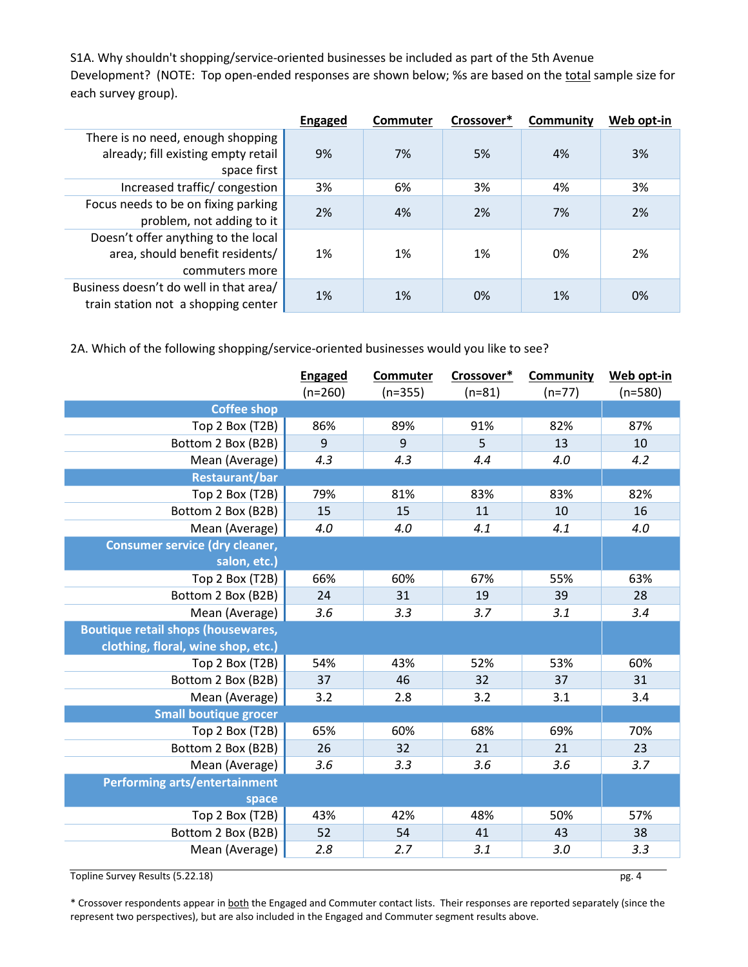S1A. Why shouldn't shopping/service-oriented businesses be included as part of the 5th Avenue Development? (NOTE: Top open-ended responses are shown below; %s are based on the total sample size for each survey group).

|                                                                                          | <b>Engaged</b> | Commuter | Crossover* | Community | Web opt-in |
|------------------------------------------------------------------------------------------|----------------|----------|------------|-----------|------------|
| There is no need, enough shopping<br>already; fill existing empty retail<br>space first  | 9%             | 7%       | 5%         | 4%        | 3%         |
| Increased traffic/congestion                                                             | 3%             | 6%       | 3%         | 4%        | 3%         |
| Focus needs to be on fixing parking<br>problem, not adding to it                         | 2%             | 4%       | 2%         | 7%        | 2%         |
| Doesn't offer anything to the local<br>area, should benefit residents/<br>commuters more | 1%             | 1%       | 1%         | 0%        | 2%         |
| Business doesn't do well in that area/<br>train station not a shopping center            | 1%             | 1%       | 0%         | 1%        | 0%         |

2A. Which of the following shopping/service-oriented businesses would you like to see?

|                                           | <b>Engaged</b><br>$(n=260)$ | Commuter<br>$(n=355)$ | Crossover*<br>$(n=81)$ | <b>Community</b><br>$(n=77)$ | Web opt-in<br>$(n=580)$ |
|-------------------------------------------|-----------------------------|-----------------------|------------------------|------------------------------|-------------------------|
| <b>Coffee shop</b>                        |                             |                       |                        |                              |                         |
| Top 2 Box (T2B)                           | 86%                         | 89%                   | 91%                    | 82%                          | 87%                     |
| Bottom 2 Box (B2B)                        | 9                           | 9                     | 5                      | 13                           | 10                      |
| Mean (Average)                            | 4.3                         | 4.3                   | 4.4                    | 4.0                          | 4.2                     |
| <b>Restaurant/bar</b>                     |                             |                       |                        |                              |                         |
| Top 2 Box (T2B)                           | 79%                         | 81%                   | 83%                    | 83%                          | 82%                     |
| Bottom 2 Box (B2B)                        | 15                          | 15                    | 11                     | 10                           | 16                      |
| Mean (Average)                            | 4.0                         | 4.0                   | 4.1                    | 4.1                          | 4.0                     |
| <b>Consumer service (dry cleaner,</b>     |                             |                       |                        |                              |                         |
| salon, etc.)                              |                             |                       |                        |                              |                         |
| Top 2 Box (T2B)                           | 66%                         | 60%                   | 67%                    | 55%                          | 63%                     |
| Bottom 2 Box (B2B)                        | 24                          | 31                    | 19                     | 39                           | 28                      |
| Mean (Average)                            | 3.6                         | 3.3                   | 3.7                    | 3.1                          | 3.4                     |
| <b>Boutique retail shops (housewares,</b> |                             |                       |                        |                              |                         |
| clothing, floral, wine shop, etc.)        |                             |                       |                        |                              |                         |
| Top 2 Box (T2B)                           | 54%                         | 43%                   | 52%                    | 53%                          | 60%                     |
| Bottom 2 Box (B2B)                        | 37                          | 46                    | 32                     | 37                           | 31                      |
| Mean (Average)                            | 3.2                         | 2.8                   | 3.2                    | 3.1                          | 3.4                     |
| <b>Small boutique grocer</b>              |                             |                       |                        |                              |                         |
| Top 2 Box (T2B)                           | 65%                         | 60%                   | 68%                    | 69%                          | 70%                     |
| Bottom 2 Box (B2B)                        | 26                          | 32                    | 21                     | 21                           | 23                      |
| Mean (Average)                            | 3.6                         | 3.3                   | 3.6                    | 3.6                          | 3.7                     |
| Performing arts/entertainment             |                             |                       |                        |                              |                         |
| space                                     |                             |                       |                        |                              |                         |
| Top 2 Box (T2B)                           | 43%                         | 42%                   | 48%                    | 50%                          | 57%                     |
| Bottom 2 Box (B2B)                        | 52                          | 54                    | 41                     | 43                           | 38                      |
| Mean (Average)                            | 2.8                         | 2.7                   | 3.1                    | 3.0                          | 3.3                     |

Topline Survey Results (5.22.18) pg. 4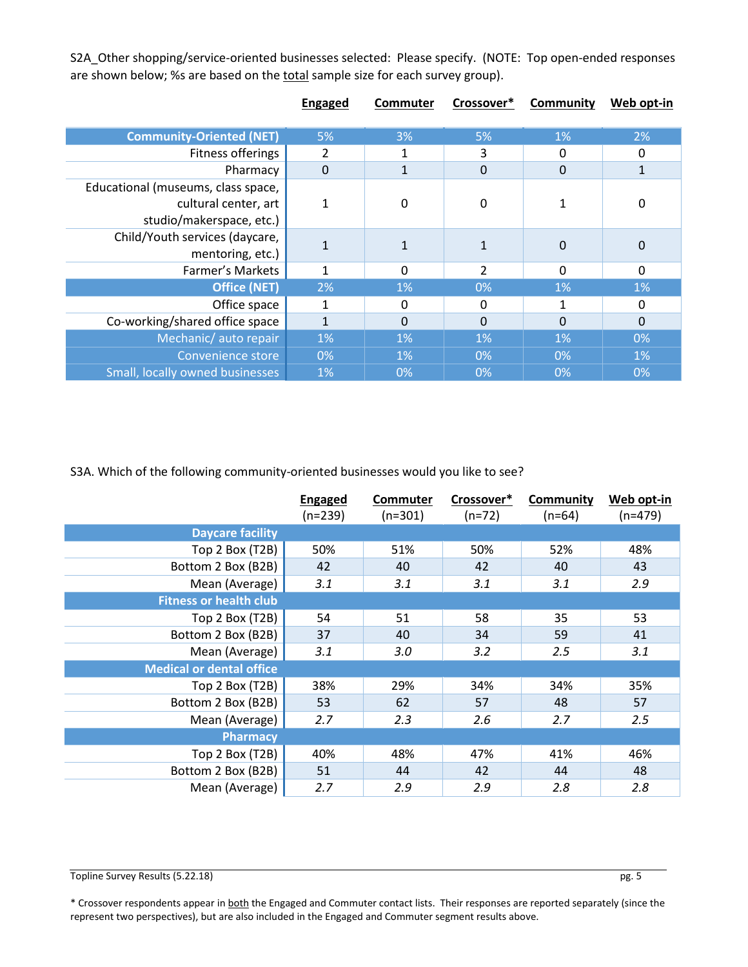S2A\_Other shopping/service-oriented businesses selected: Please specify. (NOTE: Top open-ended responses are shown below; %s are based on the total sample size for each survey group).

|                                                                                        | <b>Engaged</b> | <b>Commuter</b> | Crossover*     | <b>Community</b> | Web opt-in   |
|----------------------------------------------------------------------------------------|----------------|-----------------|----------------|------------------|--------------|
| <b>Community-Oriented (NET)</b>                                                        | 5%             | 3%              | 5%             | 1%               | 2%           |
| Fitness offerings                                                                      | 2              |                 | 3              | 0                | 0            |
| Pharmacy                                                                               | $\Omega$       |                 | $\Omega$       | $\mathbf 0$      | $\mathbf{1}$ |
| Educational (museums, class space,<br>cultural center, art<br>studio/makerspace, etc.) | $\mathbf{1}$   | 0               | $\mathbf 0$    |                  | 0            |
| Child/Youth services (daycare,<br>mentoring, etc.)                                     |                |                 |                | $\Omega$         | 0            |
| Farmer's Markets                                                                       | 1              | 0               | $\overline{2}$ | 0                | $\Omega$     |
| <b>Office (NET)</b>                                                                    | 2%             | 1%              | 0%             | 1%               | 1%           |
| Office space                                                                           | 1              | 0               | 0              | 1                | 0            |
| Co-working/shared office space                                                         | 1              | 0               | $\Omega$       | $\Omega$         | $\mathbf 0$  |
| Mechanic/ auto repair                                                                  | 1%             | 1%              | 1%             | 1%               | 0%           |
| <b>Convenience store</b>                                                               | 0%             | 1%              | 0%             | 0%               | 1%           |
| Small, locally owned businesses                                                        | 1%             | 0%              | 0%             | 0%               | 0%           |

S3A. Which of the following community-oriented businesses would you like to see?

|                                 | <b>Engaged</b><br>$(n=239)$ | Commuter<br>$(n=301)$ | Crossover*<br>$(n=72)$ | <b>Community</b><br>$(n=64)$ | Web opt-in<br>$(n=479)$ |
|---------------------------------|-----------------------------|-----------------------|------------------------|------------------------------|-------------------------|
| <b>Daycare facility</b>         |                             |                       |                        |                              |                         |
| Top 2 Box (T2B)                 | 50%                         | 51%                   | 50%                    | 52%                          | 48%                     |
| Bottom 2 Box (B2B)              | 42                          | 40                    | 42                     | 40                           | 43                      |
| Mean (Average)                  | 3.1                         | 3.1                   | 3.1                    | 3.1                          | 2.9                     |
| <b>Fitness or health club</b>   |                             |                       |                        |                              |                         |
| Top 2 Box (T2B)                 | 54                          | 51                    | 58                     | 35                           | 53                      |
| Bottom 2 Box (B2B)              | 37                          | 40                    | 34                     | 59                           | 41                      |
| Mean (Average)                  | 3.1                         | 3.0                   | 3.2                    | 2.5                          | 3.1                     |
| <b>Medical or dental office</b> |                             |                       |                        |                              |                         |
| Top 2 Box (T2B)                 | 38%                         | 29%                   | 34%                    | 34%                          | 35%                     |
| Bottom 2 Box (B2B)              | 53                          | 62                    | 57                     | 48                           | 57                      |
| Mean (Average)                  | 2.7                         | 2.3                   | 2.6                    | 2.7                          | 2.5                     |
| <b>Pharmacy</b>                 |                             |                       |                        |                              |                         |
| Top 2 Box (T2B)                 | 40%                         | 48%                   | 47%                    | 41%                          | 46%                     |
| Bottom 2 Box (B2B)              | 51                          | 44                    | 42                     | 44                           | 48                      |
| Mean (Average)                  | 2.7                         | 2.9                   | 2.9                    | 2.8                          | 2.8                     |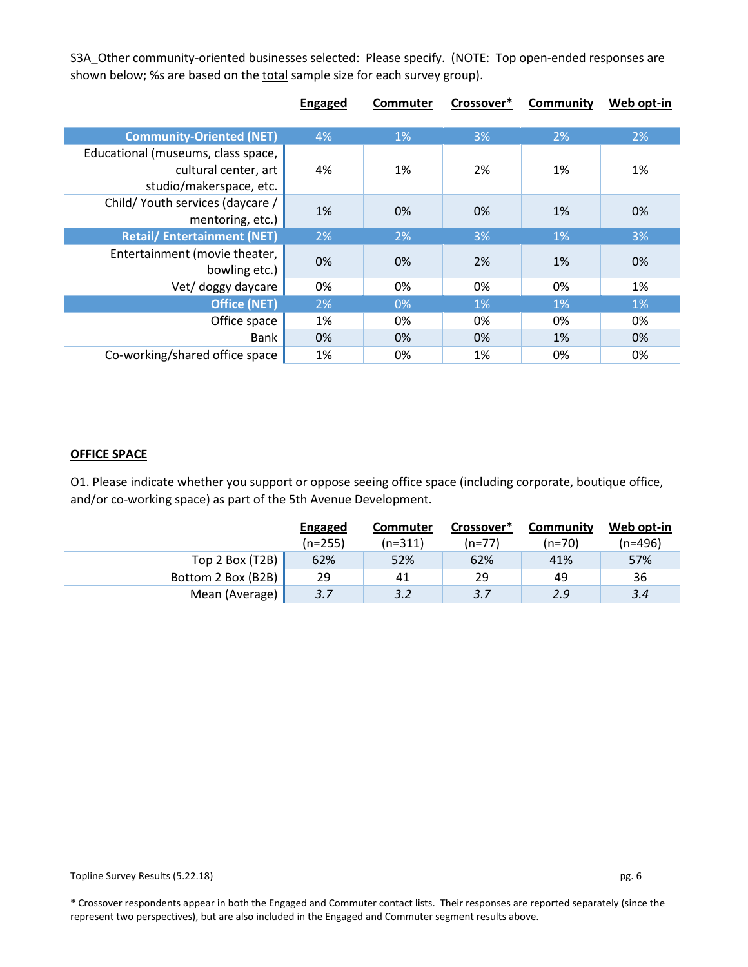S3A\_Other community-oriented businesses selected: Please specify. (NOTE: Top open-ended responses are shown below; %s are based on the total sample size for each survey group).

|                                    | <b>Engaged</b> | <b>Commuter</b> | Crossover* | Community | Web opt-in |
|------------------------------------|----------------|-----------------|------------|-----------|------------|
|                                    |                |                 |            |           |            |
| <b>Community-Oriented (NET)</b>    | 4%             | $1\%$           | 3%         | 2%        | 2%         |
| Educational (museums, class space, |                |                 |            |           |            |
| cultural center, art               | 4%             | 1%              | 2%         | 1%        | 1%         |
| studio/makerspace, etc.            |                |                 |            |           |            |
| Child/ Youth services (daycare /   | 1%             | 0%              | 0%         | 1%        | 0%         |
| mentoring, etc.)                   |                |                 |            |           |            |
| <b>Retail/Entertainment (NET)</b>  | 2%             | 2%              | 3%         | 1%        | 3%         |
| Entertainment (movie theater,      | 0%             | 0%              | 2%         | 1%        | 0%         |
| bowling etc.)                      |                |                 |            |           |            |
| Vet/ doggy daycare                 | 0%             | 0%              | 0%         | 0%        | 1%         |
| <b>Office (NET)</b>                | 2%             | $0\%$           | 1%         | 1%        | 1%         |
| Office space                       | 1%             | 0%              | 0%         | 0%        | 0%         |
| Bank                               | 0%             | 0%              | 0%         | 1%        | 0%         |
| Co-working/shared office space     | 1%             | 0%              | 1%         | 0%        | 0%         |

#### **OFFICE SPACE**

O1. Please indicate whether you support or oppose seeing office space (including corporate, boutique office, and/or co-working space) as part of the 5th Avenue Development.

|                    | Engaged   | Commuter  | Crossover* | Community | Web opt-in |
|--------------------|-----------|-----------|------------|-----------|------------|
|                    | $(n=255)$ | $(n=311)$ | (n=77)     | (n=70)    | (n=496)    |
| Top 2 Box (T2B)    | 62%       | 52%       | 62%        | 41%       | 57%        |
| Bottom 2 Box (B2B) | 29        | 41        | 29         | 49        | 36         |
| Mean (Average)     | 3.7       | 3.2       | 3.7        | 2.9       | 3.4        |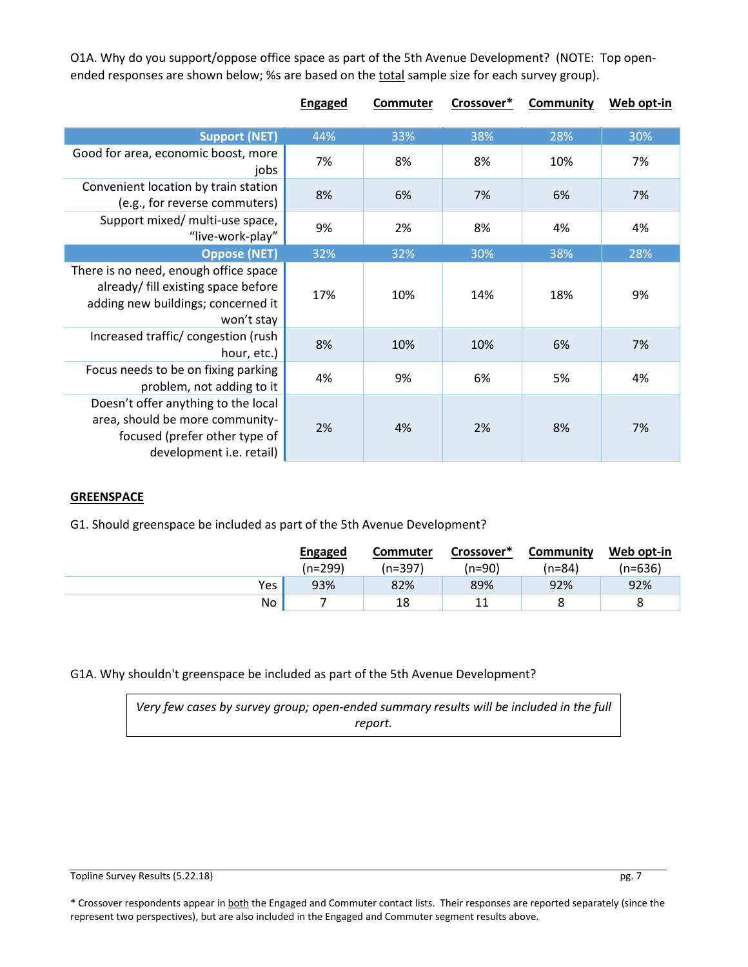O1A. Why do you support/oppose office space as part of the 5th Avenue Development? (NOTE: Top openended responses are shown below; %s are based on the total sample size for each survey group).

|                                                                                                                                            | <b>Engaged</b> | <b>Commuter</b> | Crossover* | <b>Community</b> | Web opt-in |
|--------------------------------------------------------------------------------------------------------------------------------------------|----------------|-----------------|------------|------------------|------------|
| <b>Support (NET)</b>                                                                                                                       | 44%            | 33%             | 38%        | 28%              | 30%        |
| Good for area, economic boost, more<br>jobs                                                                                                | 7%             | 8%              | 8%         | 10%              | 7%         |
| Convenient location by train station<br>(e.g., for reverse commuters)                                                                      | 8%             | 6%              | 7%         | 6%               | 7%         |
| Support mixed/ multi-use space,<br>"live-work-play"                                                                                        | 9%             | 2%              | 8%         | 4%               | 4%         |
| <b>Oppose (NET)</b>                                                                                                                        | 32%            | 32%             | 30%        | 38%              | 28%        |
| There is no need, enough office space<br>already/ fill existing space before<br>adding new buildings; concerned it<br>won't stay           | 17%            | 10%             | 14%        | 18%              | 9%         |
| Increased traffic/congestion (rush<br>hour, etc.)                                                                                          | 8%             | 10%             | 10%        | 6%               | 7%         |
| Focus needs to be on fixing parking<br>problem, not adding to it                                                                           | 4%             | 9%              | 6%         | 5%               | 4%         |
| Doesn't offer anything to the local<br>area, should be more community-<br>focused (prefer other type of<br>development <i>i.e.</i> retail) | 2%             | 4%              | 2%         | 8%               | 7%         |

### **GREENSPACE**

G1. Should greenspace be included as part of the 5th Avenue Development?

|     | Engaged | <b>Commuter</b> | Crossover* | Community | Web opt-in |
|-----|---------|-----------------|------------|-----------|------------|
|     | (n=299) | (n=397)         | (n=90)     | (n=84)    | (n=636)    |
| Yes | 93%     | 82%             | 89%        | 92%       | 92%        |
| No  |         | 18              | 11         |           | o<br>Õ     |

G1A. Why shouldn't greenspace be included as part of the 5th Avenue Development?

*Very few cases by survey group; open-ended summary results will be included in the full report.*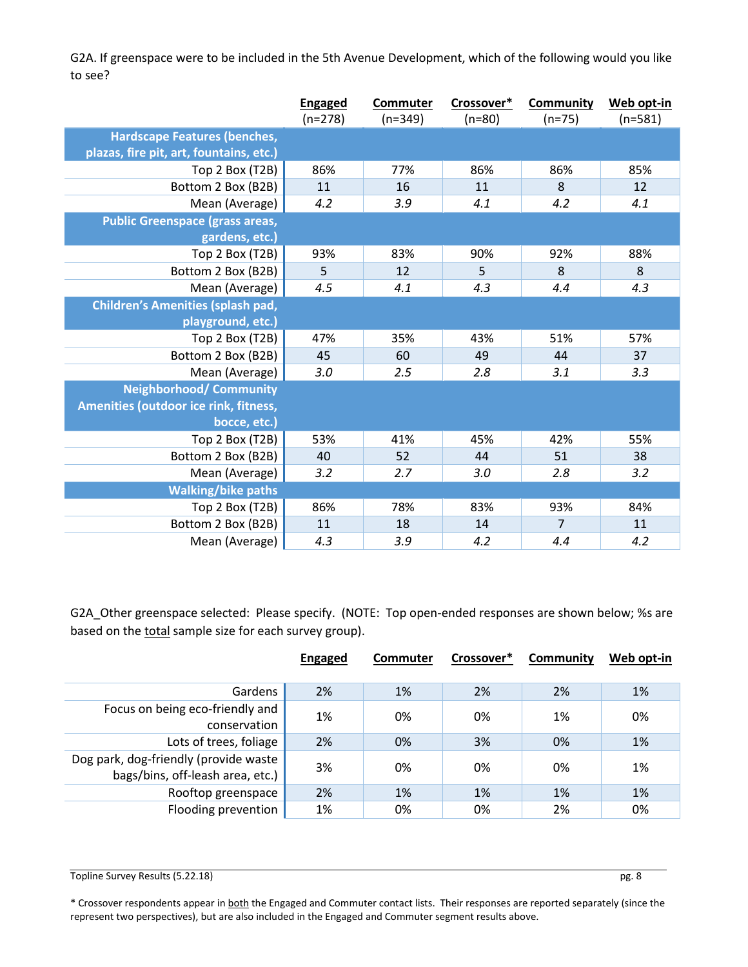G2A. If greenspace were to be included in the 5th Avenue Development, which of the following would you like to see?

| <b>Hardscape Features (benches,</b><br>plazas, fire pit, art, fountains, etc.)<br>86%<br>86%<br>86%<br>85%<br>Top 2 Box (T2B)<br>77%<br>8<br>16<br>12<br>11<br>Bottom 2 Box (B2B)<br>11<br>4.2<br>3.9<br>4.2<br>Mean (Average)<br>4.1<br>4.1<br><b>Public Greenspace (grass areas,</b><br>gardens, etc.)<br>93%<br>92%<br>Top 2 Box (T2B)<br>83%<br>90%<br>88%<br>5<br>12<br>5<br>8<br>8<br>Bottom 2 Box (B2B)<br>Mean (Average)<br>4.5<br>4.3<br>4.1<br>4.3<br>4.4<br><b>Children's Amenities (splash pad,</b><br>playground, etc.)<br>Top 2 Box (T2B)<br>47%<br>35%<br>43%<br>51%<br>57%<br>Bottom 2 Box (B2B)<br>45<br>60<br>49<br>37<br>44<br>Mean (Average)<br>3.0<br>2.5<br>2.8<br>3.3<br>3.1<br><b>Neighborhood/ Community</b><br>Amenities (outdoor ice rink, fitness,<br>bocce, etc.)<br>53%<br>45%<br>42%<br>55%<br>Top 2 Box (T2B)<br>41%<br>Bottom 2 Box (B2B)<br>40<br>38<br>52<br>44<br>51 | <b>Engaged</b><br>$(n=278)$ | <b>Commuter</b><br>$(n=349)$ | Crossover*<br>$(n=80)$ | <b>Community</b><br>$(n=75)$ | Web opt-in<br>$(n=581)$ |
|----------------------------------------------------------------------------------------------------------------------------------------------------------------------------------------------------------------------------------------------------------------------------------------------------------------------------------------------------------------------------------------------------------------------------------------------------------------------------------------------------------------------------------------------------------------------------------------------------------------------------------------------------------------------------------------------------------------------------------------------------------------------------------------------------------------------------------------------------------------------------------------------------------|-----------------------------|------------------------------|------------------------|------------------------------|-------------------------|
|                                                                                                                                                                                                                                                                                                                                                                                                                                                                                                                                                                                                                                                                                                                                                                                                                                                                                                          |                             |                              |                        |                              |                         |
|                                                                                                                                                                                                                                                                                                                                                                                                                                                                                                                                                                                                                                                                                                                                                                                                                                                                                                          |                             |                              |                        |                              |                         |
|                                                                                                                                                                                                                                                                                                                                                                                                                                                                                                                                                                                                                                                                                                                                                                                                                                                                                                          |                             |                              |                        |                              |                         |
|                                                                                                                                                                                                                                                                                                                                                                                                                                                                                                                                                                                                                                                                                                                                                                                                                                                                                                          |                             |                              |                        |                              |                         |
|                                                                                                                                                                                                                                                                                                                                                                                                                                                                                                                                                                                                                                                                                                                                                                                                                                                                                                          |                             |                              |                        |                              |                         |
|                                                                                                                                                                                                                                                                                                                                                                                                                                                                                                                                                                                                                                                                                                                                                                                                                                                                                                          |                             |                              |                        |                              |                         |
|                                                                                                                                                                                                                                                                                                                                                                                                                                                                                                                                                                                                                                                                                                                                                                                                                                                                                                          |                             |                              |                        |                              |                         |
|                                                                                                                                                                                                                                                                                                                                                                                                                                                                                                                                                                                                                                                                                                                                                                                                                                                                                                          |                             |                              |                        |                              |                         |
|                                                                                                                                                                                                                                                                                                                                                                                                                                                                                                                                                                                                                                                                                                                                                                                                                                                                                                          |                             |                              |                        |                              |                         |
|                                                                                                                                                                                                                                                                                                                                                                                                                                                                                                                                                                                                                                                                                                                                                                                                                                                                                                          |                             |                              |                        |                              |                         |
|                                                                                                                                                                                                                                                                                                                                                                                                                                                                                                                                                                                                                                                                                                                                                                                                                                                                                                          |                             |                              |                        |                              |                         |
|                                                                                                                                                                                                                                                                                                                                                                                                                                                                                                                                                                                                                                                                                                                                                                                                                                                                                                          |                             |                              |                        |                              |                         |
|                                                                                                                                                                                                                                                                                                                                                                                                                                                                                                                                                                                                                                                                                                                                                                                                                                                                                                          |                             |                              |                        |                              |                         |
|                                                                                                                                                                                                                                                                                                                                                                                                                                                                                                                                                                                                                                                                                                                                                                                                                                                                                                          |                             |                              |                        |                              |                         |
|                                                                                                                                                                                                                                                                                                                                                                                                                                                                                                                                                                                                                                                                                                                                                                                                                                                                                                          |                             |                              |                        |                              |                         |
|                                                                                                                                                                                                                                                                                                                                                                                                                                                                                                                                                                                                                                                                                                                                                                                                                                                                                                          |                             |                              |                        |                              |                         |
|                                                                                                                                                                                                                                                                                                                                                                                                                                                                                                                                                                                                                                                                                                                                                                                                                                                                                                          |                             |                              |                        |                              |                         |
|                                                                                                                                                                                                                                                                                                                                                                                                                                                                                                                                                                                                                                                                                                                                                                                                                                                                                                          |                             |                              |                        |                              |                         |
|                                                                                                                                                                                                                                                                                                                                                                                                                                                                                                                                                                                                                                                                                                                                                                                                                                                                                                          |                             |                              |                        |                              |                         |
|                                                                                                                                                                                                                                                                                                                                                                                                                                                                                                                                                                                                                                                                                                                                                                                                                                                                                                          |                             |                              |                        |                              |                         |
|                                                                                                                                                                                                                                                                                                                                                                                                                                                                                                                                                                                                                                                                                                                                                                                                                                                                                                          |                             |                              |                        |                              |                         |
| Mean (Average)<br>3.2<br>2.7<br>2.8<br>3.2<br>3.0                                                                                                                                                                                                                                                                                                                                                                                                                                                                                                                                                                                                                                                                                                                                                                                                                                                        |                             |                              |                        |                              |                         |
| <b>Walking/bike paths</b>                                                                                                                                                                                                                                                                                                                                                                                                                                                                                                                                                                                                                                                                                                                                                                                                                                                                                |                             |                              |                        |                              |                         |
| 86%<br>Top 2 Box (T2B)<br>78%<br>83%<br>93%<br>84%                                                                                                                                                                                                                                                                                                                                                                                                                                                                                                                                                                                                                                                                                                                                                                                                                                                       |                             |                              |                        |                              |                         |
| Bottom 2 Box (B2B)<br>11<br>18<br>$\overline{7}$<br>11<br>14                                                                                                                                                                                                                                                                                                                                                                                                                                                                                                                                                                                                                                                                                                                                                                                                                                             |                             |                              |                        |                              |                         |
| Mean (Average)<br>4.3<br>3.9<br>4.2<br>4.4<br>4.2                                                                                                                                                                                                                                                                                                                                                                                                                                                                                                                                                                                                                                                                                                                                                                                                                                                        |                             |                              |                        |                              |                         |

G2A\_Other greenspace selected: Please specify. (NOTE: Top open-ended responses are shown below; %s are based on the total sample size for each survey group).

|                                                                           | <b>Engaged</b> | <b>Commuter</b> | Crossover* | Community | Web opt-in |
|---------------------------------------------------------------------------|----------------|-----------------|------------|-----------|------------|
|                                                                           |                |                 |            |           |            |
| Gardens                                                                   | 2%             | 1%              | 2%         | 2%        | 1%         |
| Focus on being eco-friendly and<br>conservation                           | 1%             | 0%              | 0%         | 1%        | 0%         |
| Lots of trees, foliage                                                    | 2%             | 0%              | 3%         | 0%        | 1%         |
| Dog park, dog-friendly (provide waste<br>bags/bins, off-leash area, etc.) | 3%             | 0%              | 0%         | 0%        | 1%         |
| Rooftop greenspace                                                        | 2%             | 1%              | 1%         | 1%        | 1%         |
| Flooding prevention                                                       | 1%             | 0%              | 0%         | 2%        | 0%         |

Topline Survey Results (5.22.18) pg. 8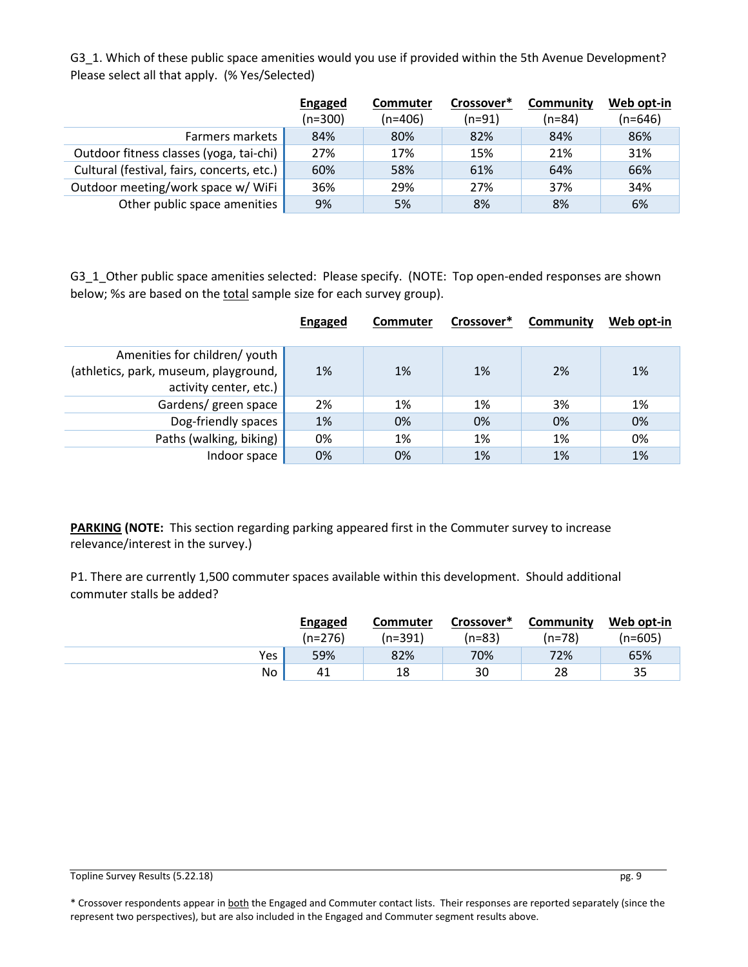G3\_1. Which of these public space amenities would you use if provided within the 5th Avenue Development? Please select all that apply. (% Yes/Selected)

|                                            | <b>Engaged</b> | Commuter  | Crossover* | Community | Web opt-in |
|--------------------------------------------|----------------|-----------|------------|-----------|------------|
|                                            | $(n=300)$      | $(n=406)$ | $(n=91)$   | $(n=84)$  | (n=646)    |
| <b>Farmers markets</b>                     | 84%            | 80%       | 82%        | 84%       | 86%        |
| Outdoor fitness classes (yoga, tai-chi)    | 27%            | 17%       | 15%        | 21%       | 31%        |
| Cultural (festival, fairs, concerts, etc.) | 60%            | 58%       | 61%        | 64%       | 66%        |
| Outdoor meeting/work space w/ WiFi         | 36%            | 29%       | 27%        | 37%       | 34%        |
| Other public space amenities               | 9%             | 5%        | 8%         | 8%        | 6%         |

G3\_1\_Other public space amenities selected: Please specify. (NOTE: Top open-ended responses are shown below; %s are based on the total sample size for each survey group).

|                                       | <b>Engaged</b> | <b>Commuter</b> | Crossover* | Community | Web opt-in |
|---------------------------------------|----------------|-----------------|------------|-----------|------------|
|                                       |                |                 |            |           |            |
| Amenities for children/ youth         |                |                 |            |           |            |
| (athletics, park, museum, playground, | 1%             | 1%              | 1%         | 2%        | 1%         |
| activity center, etc.)                |                |                 |            |           |            |
| Gardens/ green space                  | 2%             | 1%              | 1%         | 3%        | 1%         |
| Dog-friendly spaces                   | 1%             | 0%              | 0%         | 0%        | 0%         |
| Paths (walking, biking)               | 0%             | 1%              | 1%         | 1%        | 0%         |
| Indoor space                          | 0%             | 0%              | 1%         | 1%        | 1%         |

**PARKING (NOTE:** This section regarding parking appeared first in the Commuter survey to increase relevance/interest in the survey.)

P1. There are currently 1,500 commuter spaces available within this development. Should additional commuter stalls be added?

|     | <b>Engaged</b> | <b>Commuter</b> | Crossover* | Community | Web opt-in |
|-----|----------------|-----------------|------------|-----------|------------|
|     | $(n=276)$      | (n=391)         | (n=83)     | (n=78)    | (n=605)    |
| Yes | 59%            | 82%             | 70%        | 72%       | 65%        |
| No  | 41             | 18              | 30         | 28        | 35         |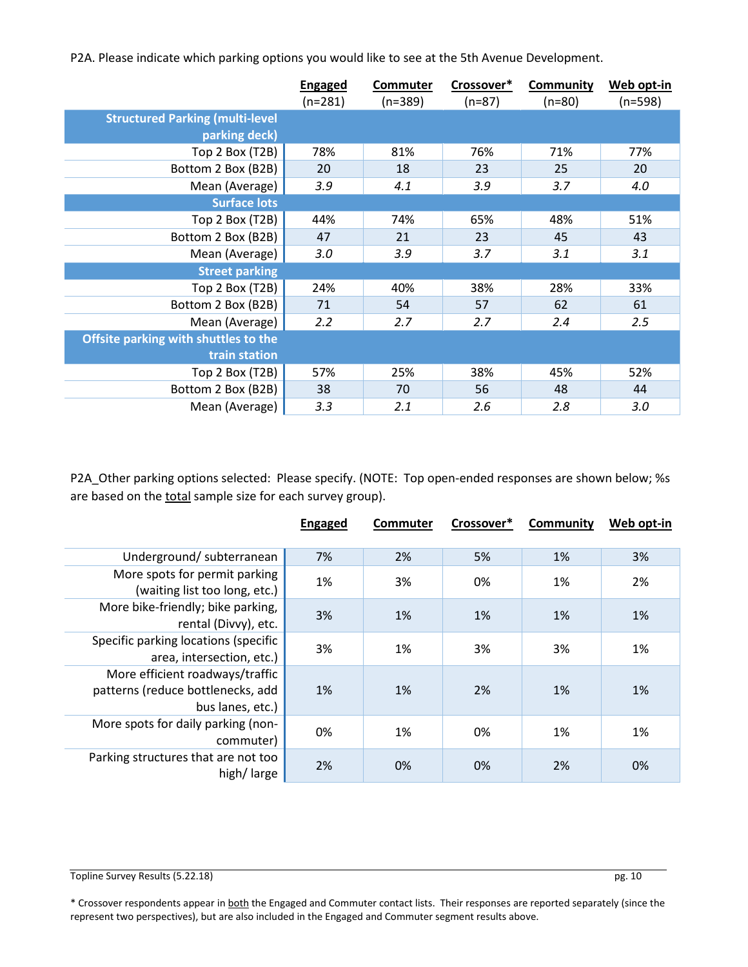P2A. Please indicate which parking options you would like to see at the 5th Avenue Development.

|                                                         | <b>Engaged</b><br>$(n=281)$ | Commuter<br>$(n=389)$ | Crossover*<br>$(n=87)$ | <b>Community</b><br>$(n=80)$ | Web opt-in<br>$(n=598)$ |
|---------------------------------------------------------|-----------------------------|-----------------------|------------------------|------------------------------|-------------------------|
| <b>Structured Parking (multi-level</b><br>parking deck) |                             |                       |                        |                              |                         |
| Top 2 Box (T2B)                                         | 78%                         | 81%                   | 76%                    | 71%                          | 77%                     |
| Bottom 2 Box (B2B)                                      | 20                          | 18                    | 23                     | 25                           | 20                      |
| Mean (Average)                                          | 3.9                         | 4.1                   | 3.9                    | 3.7                          | 4.0                     |
| <b>Surface lots</b>                                     |                             |                       |                        |                              |                         |
| Top 2 Box (T2B)                                         | 44%                         | 74%                   | 65%                    | 48%                          | 51%                     |
| Bottom 2 Box (B2B)                                      | 47                          | 21                    | 23                     | 45                           | 43                      |
| Mean (Average)                                          | 3.0                         | 3.9                   | 3.7                    | 3.1                          | 3.1                     |
| <b>Street parking</b>                                   |                             |                       |                        |                              |                         |
| Top 2 Box (T2B)                                         | 24%                         | 40%                   | 38%                    | 28%                          | 33%                     |
| Bottom 2 Box (B2B)                                      | 71                          | 54                    | 57                     | 62                           | 61                      |
| Mean (Average)                                          | 2.2                         | 2.7                   | 2.7                    | 2.4                          | 2.5                     |
| Offsite parking with shuttles to the                    |                             |                       |                        |                              |                         |
| train station                                           |                             |                       |                        |                              |                         |
| Top 2 Box (T2B)                                         | 57%                         | 25%                   | 38%                    | 45%                          | 52%                     |
| Bottom 2 Box (B2B)                                      | 38                          | 70                    | 56                     | 48                           | 44                      |
| Mean (Average)                                          | 3.3                         | 2.1                   | 2.6                    | 2.8                          | 3.0                     |

P2A\_Other parking options selected: Please specify. (NOTE: Top open-ended responses are shown below; %s are based on the total sample size for each survey group).

|                                                                                          | <b>Engaged</b> | <b>Commuter</b> | Crossover* | Community | Web opt-in |
|------------------------------------------------------------------------------------------|----------------|-----------------|------------|-----------|------------|
| Underground/subterranean                                                                 | 7%             | 2%              | 5%         | 1%        | 3%         |
| More spots for permit parking<br>(waiting list too long, etc.)                           | 1%             | 3%              | 0%         | 1%        | 2%         |
| More bike-friendly; bike parking,<br>rental (Divvy), etc.                                | 3%             | 1%              | 1%         | 1%        | 1%         |
| Specific parking locations (specific<br>area, intersection, etc.)                        | 3%             | 1%              | 3%         | 3%        | 1%         |
| More efficient roadways/traffic<br>patterns (reduce bottlenecks, add<br>bus lanes, etc.) | 1%             | 1%              | 2%         | 1%        | 1%         |
| More spots for daily parking (non-<br>commuter)                                          | 0%             | 1%              | 0%         | 1%        | 1%         |
| Parking structures that are not too<br>high/large                                        | 2%             | 0%              | 0%         | 2%        | 0%         |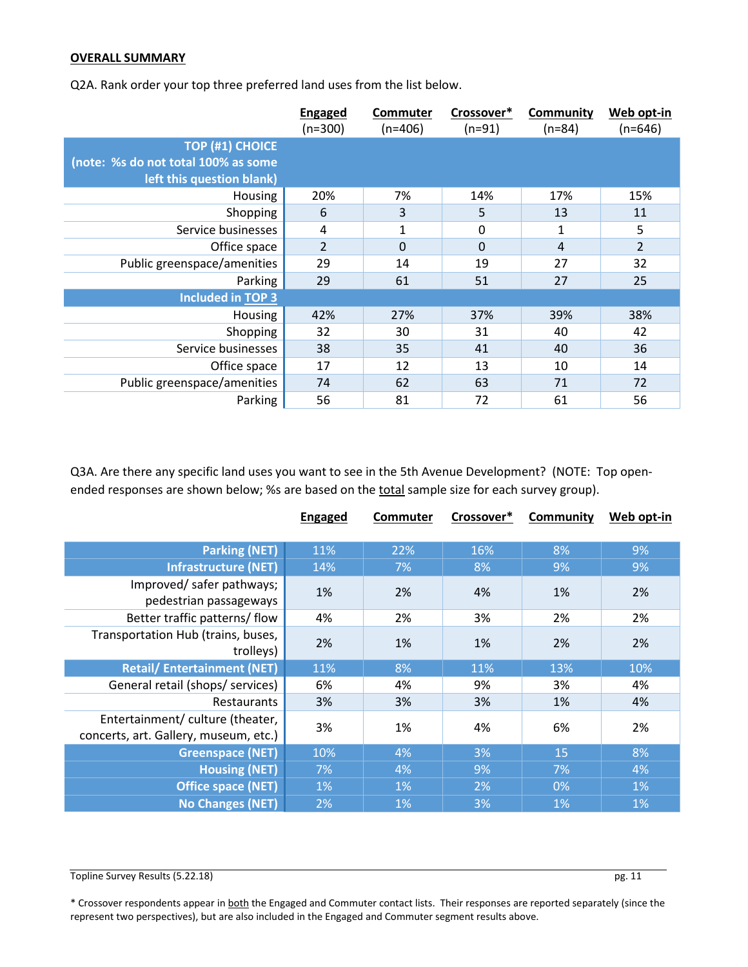#### **OVERALL SUMMARY**

Q2A. Rank order your top three preferred land uses from the list below.

|                                     | <b>Engaged</b><br>$(n=300)$ | <b>Commuter</b><br>$(n=406)$ | Crossover*<br>$(n=91)$ | Community<br>$(n=84)$ | Web opt-in<br>$(n=646)$ |
|-------------------------------------|-----------------------------|------------------------------|------------------------|-----------------------|-------------------------|
| <b>TOP (#1) CHOICE</b>              |                             |                              |                        |                       |                         |
| (note: %s do not total 100% as some |                             |                              |                        |                       |                         |
| left this question blank)           |                             |                              |                        |                       |                         |
| Housing                             | 20%                         | 7%                           | 14%                    | 17%                   | 15%                     |
| Shopping                            | 6                           | 3                            | 5                      | 13                    | 11                      |
| Service businesses                  | 4                           | 1                            | 0                      | 1                     | 5                       |
| Office space                        | $\overline{2}$              | $\Omega$                     | $\Omega$               | $\overline{4}$        | $\overline{2}$          |
| Public greenspace/amenities         | 29                          | 14                           | 19                     | 27                    | 32                      |
| Parking                             | 29                          | 61                           | 51                     | 27                    | 25                      |
| <b>Included in TOP 3</b>            |                             |                              |                        |                       |                         |
| <b>Housing</b>                      | 42%                         | 27%                          | 37%                    | 39%                   | 38%                     |
| Shopping                            | 32                          | 30                           | 31                     | 40                    | 42                      |
| Service businesses                  | 38                          | 35                           | 41                     | 40                    | 36                      |
| Office space                        | 17                          | 12                           | 13                     | 10                    | 14                      |
| Public greenspace/amenities         | 74                          | 62                           | 63                     | 71                    | 72                      |
| Parking                             | 56                          | 81                           | 72                     | 61                    | 56                      |

Q3A. Are there any specific land uses you want to see in the 5th Avenue Development? (NOTE: Top openended responses are shown below; %s are based on the total sample size for each survey group).

|                                       | <b>Engaged</b> | Commuter | Crossover* | <b>Community</b> | Web opt-in |
|---------------------------------------|----------------|----------|------------|------------------|------------|
|                                       |                |          |            |                  |            |
| <b>Parking (NET)</b>                  | 11%            | 22%      | 16%        | 8%               | 9%         |
| <b>Infrastructure (NET)</b>           | 14%            | 7%       | 8%         | 9%               | 9%         |
| Improved/safer pathways;              |                |          |            |                  |            |
| pedestrian passageways                | 1%             | 2%       | 4%         | 1%               | 2%         |
| Better traffic patterns/flow          | 4%             | 2%       | 3%         | 2%               | 2%         |
| Transportation Hub (trains, buses,    | 2%             | 1%       | 1%         | 2%               | 2%         |
| trolleys)                             |                |          |            |                  |            |
| <b>Retail/Entertainment (NET)</b>     | 11%            | 8%       | 11%        | 13%              | 10%        |
| General retail (shops/ services)      | 6%             | 4%       | 9%         | 3%               | 4%         |
| <b>Restaurants</b>                    | 3%             | 3%       | 3%         | 1%               | 4%         |
| Entertainment/ culture (theater,      | 3%             | 1%       | 4%         | 6%               | 2%         |
| concerts, art. Gallery, museum, etc.) |                |          |            |                  |            |
| <b>Greenspace (NET)</b>               | 10%            | 4%       | 3%         | 15               | 8%         |
| <b>Housing (NET)</b>                  | 7%             | 4%       | 9%         | 7%               | 4%         |
| <b>Office space (NET)</b>             | $1\%$          | 1%       | 2%         | 0%               | 1%         |
| <b>No Changes (NET)</b>               | 2%             | 1%       | 3%         | 1%               | 1%         |

Topline Survey Results (5.22.18) pg. 11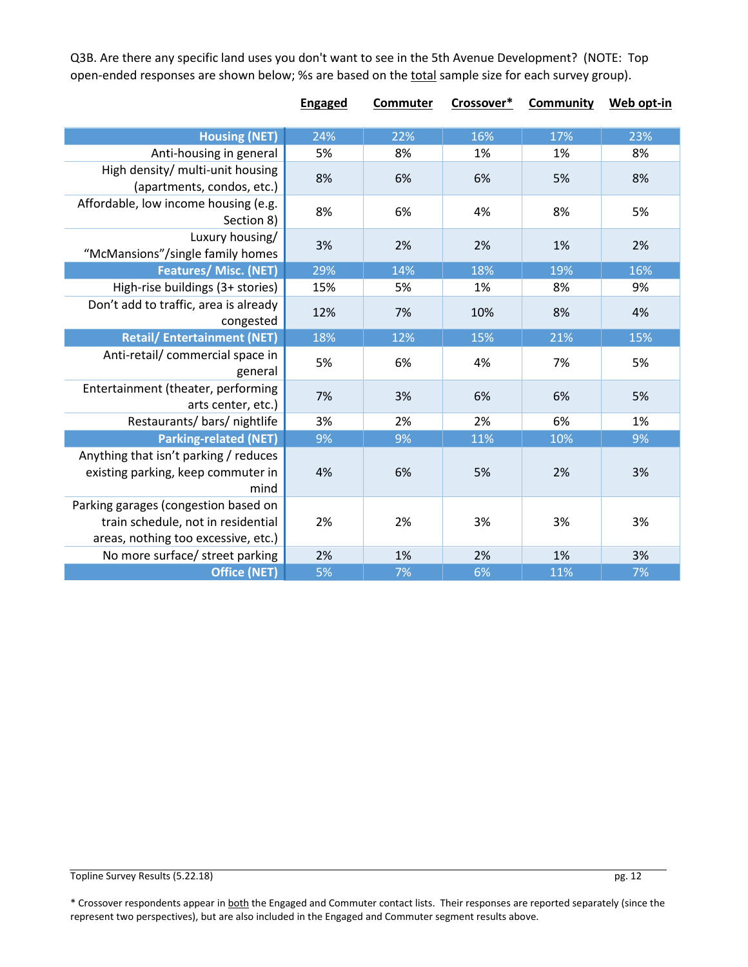Q3B. Are there any specific land uses you don't want to see in the 5th Avenue Development? (NOTE: Top open-ended responses are shown below; %s are based on the total sample size for each survey group).

|                                                                                                                   | <b>Engaged</b> | Commuter | Crossover* | <b>Community</b> | Web opt-in |
|-------------------------------------------------------------------------------------------------------------------|----------------|----------|------------|------------------|------------|
| <b>Housing (NET)</b>                                                                                              | 24%            | 22%      | 16%        | 17%              | 23%        |
| Anti-housing in general                                                                                           | 5%             | 8%       | 1%         | 1%               | 8%         |
| High density/ multi-unit housing<br>(apartments, condos, etc.)                                                    | 8%             | 6%       | 6%         | 5%               | 8%         |
| Affordable, low income housing (e.g.<br>Section 8)                                                                | 8%             | 6%       | 4%         | 8%               | 5%         |
| Luxury housing/<br>"McMansions"/single family homes                                                               | 3%             | 2%       | 2%         | 1%               | 2%         |
| Features/ Misc. (NET)                                                                                             | 29%            | 14%      | 18%        | 19%              | 16%        |
| High-rise buildings (3+ stories)                                                                                  | 15%            | 5%       | 1%         | 8%               | 9%         |
| Don't add to traffic, area is already<br>congested                                                                | 12%            | 7%       | 10%        | 8%               | 4%         |
| <b>Retail/Entertainment (NET)</b>                                                                                 | 18%            | 12%      | 15%        | 21%              | 15%        |
| Anti-retail/ commercial space in<br>general                                                                       | 5%             | 6%       | 4%         | 7%               | 5%         |
| Entertainment (theater, performing<br>arts center, etc.)                                                          | 7%             | 3%       | 6%         | 6%               | 5%         |
| Restaurants/bars/nightlife                                                                                        | 3%             | 2%       | 2%         | 6%               | 1%         |
| <b>Parking-related (NET)</b>                                                                                      | 9%             | 9%       | 11%        | 10%              | 9%         |
| Anything that isn't parking / reduces<br>existing parking, keep commuter in<br>mind                               | 4%             | 6%       | 5%         | 2%               | 3%         |
| Parking garages (congestion based on<br>train schedule, not in residential<br>areas, nothing too excessive, etc.) | 2%             | 2%       | 3%         | 3%               | 3%         |
| No more surface/ street parking                                                                                   | 2%             | 1%       | 2%         | 1%               | 3%         |
| <b>Office (NET)</b>                                                                                               | 5%             | 7%       | 6%         | 11%              | 7%         |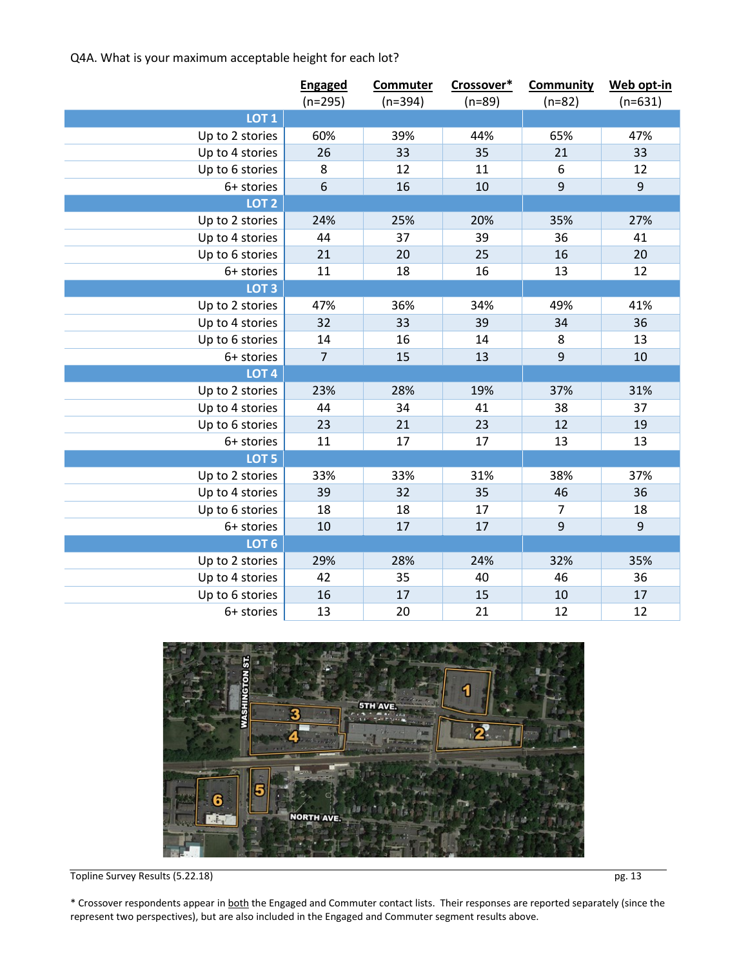Q4A. What is your maximum acceptable height for each lot?

|                  | <b>Engaged</b><br>$(n=295)$ | <b>Commuter</b><br>$(n=394)$ | Crossover*<br>$(n=89)$ | <b>Community</b><br>$(n=82)$ | Web opt-in<br>$(n=631)$ |
|------------------|-----------------------------|------------------------------|------------------------|------------------------------|-------------------------|
| LOT <sub>1</sub> |                             |                              |                        |                              |                         |
| Up to 2 stories  | 60%                         | 39%                          | 44%                    | 65%                          | 47%                     |
| Up to 4 stories  | 26                          | 33                           | 35                     | 21                           | 33                      |
| Up to 6 stories  | 8                           | 12                           | 11                     | 6                            | 12                      |
| 6+ stories       | 6                           | 16                           | 10                     | $9\,$                        | $9\,$                   |
| LOT <sub>2</sub> |                             |                              |                        |                              |                         |
| Up to 2 stories  | 24%                         | 25%                          | 20%                    | 35%                          | 27%                     |
| Up to 4 stories  | 44                          | 37                           | 39                     | 36                           | 41                      |
| Up to 6 stories  | 21                          | 20                           | 25                     | 16                           | 20                      |
| 6+ stories       | 11                          | 18                           | 16                     | 13                           | 12                      |
| LOT <sub>3</sub> |                             |                              |                        |                              |                         |
| Up to 2 stories  | 47%                         | 36%                          | 34%                    | 49%                          | 41%                     |
| Up to 4 stories  | 32                          | 33                           | 39                     | 34                           | 36                      |
| Up to 6 stories  | 14                          | 16                           | 14                     | 8                            | 13                      |
| 6+ stories       | $\overline{7}$              | 15                           | 13                     | $\mathbf{9}$                 | 10                      |
| LOT <sub>4</sub> |                             |                              |                        |                              |                         |
| Up to 2 stories  | 23%                         | 28%                          | 19%                    | 37%                          | 31%                     |
| Up to 4 stories  | 44                          | 34                           | 41                     | 38                           | 37                      |
| Up to 6 stories  | 23                          | 21                           | 23                     | 12                           | 19                      |
| 6+ stories       | 11                          | 17                           | 17                     | 13                           | 13                      |
| LOT <sub>5</sub> |                             |                              |                        |                              |                         |
| Up to 2 stories  | 33%                         | 33%                          | 31%                    | 38%                          | 37%                     |
| Up to 4 stories  | 39                          | 32                           | 35                     | 46                           | 36                      |
| Up to 6 stories  | 18                          | 18                           | 17                     | 7                            | 18                      |
| 6+ stories       | 10                          | 17                           | 17                     | $\mathbf{9}$                 | $\overline{9}$          |
| LOT <sub>6</sub> |                             |                              |                        |                              |                         |
| Up to 2 stories  | 29%                         | 28%                          | 24%                    | 32%                          | 35%                     |
| Up to 4 stories  | 42                          | 35                           | 40                     | 46                           | 36                      |
| Up to 6 stories  | 16                          | 17                           | 15                     | 10                           | 17                      |
| 6+ stories       | 13                          | 20                           | 21                     | 12                           | 12                      |



Topline Survey Results (5.22.18) pg. 13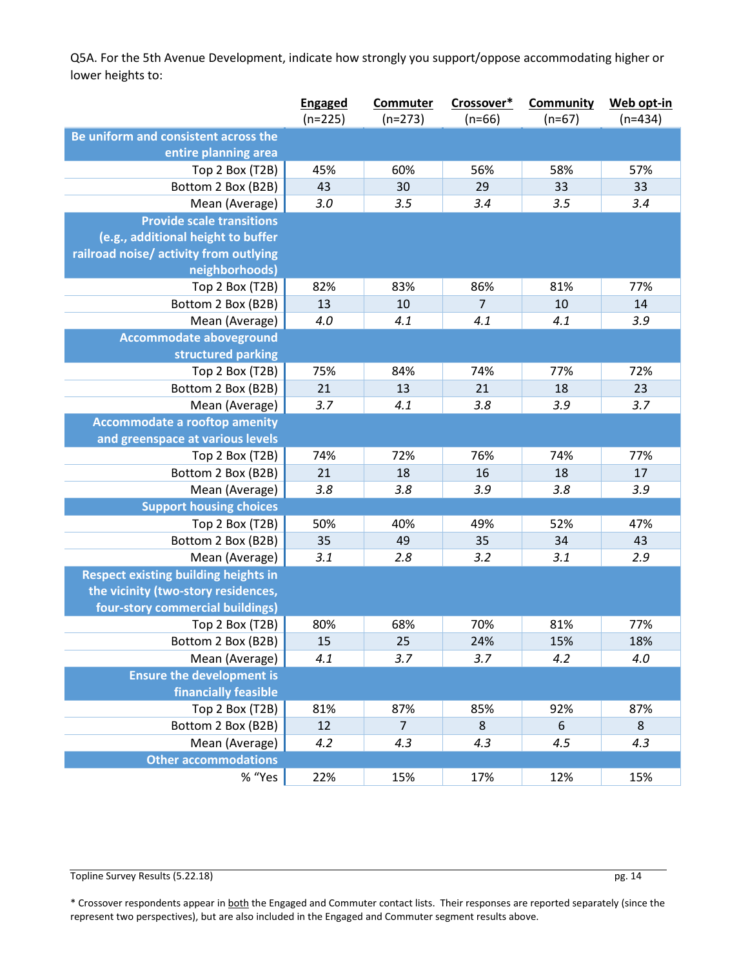Q5A. For the 5th Avenue Development, indicate how strongly you support/oppose accommodating higher or lower heights to:

|                                             | <b>Engaged</b> | <b>Commuter</b> | Crossover* | <b>Community</b> | Web opt-in |
|---------------------------------------------|----------------|-----------------|------------|------------------|------------|
|                                             | $(n=225)$      | $(n=273)$       | $(n=66)$   | $(n=67)$         | $(n=434)$  |
| Be uniform and consistent across the        |                |                 |            |                  |            |
| entire planning area                        |                |                 |            |                  |            |
| Top 2 Box (T2B)                             | 45%            | 60%             | 56%        | 58%              | 57%        |
| Bottom 2 Box (B2B)                          | 43             | 30              | 29         | 33               | 33         |
| Mean (Average)                              | 3.0            | 3.5             | 3.4        | 3.5              | 3.4        |
| <b>Provide scale transitions</b>            |                |                 |            |                  |            |
| (e.g., additional height to buffer          |                |                 |            |                  |            |
| railroad noise/ activity from outlying      |                |                 |            |                  |            |
| neighborhoods)                              |                |                 |            |                  |            |
| Top 2 Box (T2B)                             | 82%            | 83%             | 86%        | 81%              | 77%        |
| Bottom 2 Box (B2B)                          | 13             | 10              | 7          | 10               | 14         |
| Mean (Average)                              | 4.0            | 4.1             | 4.1        | 4.1              | 3.9        |
| <b>Accommodate aboveground</b>              |                |                 |            |                  |            |
| structured parking                          |                |                 |            |                  |            |
| Top 2 Box (T2B)                             | 75%            | 84%             | 74%        | 77%              | 72%        |
| Bottom 2 Box (B2B)                          | 21             | 13              | 21         | 18               | 23         |
| Mean (Average)                              | 3.7            | 4.1             | 3.8        | 3.9              | 3.7        |
| <b>Accommodate a rooftop amenity</b>        |                |                 |            |                  |            |
| and greenspace at various levels            |                |                 |            |                  |            |
| Top 2 Box (T2B)                             | 74%            | 72%             | 76%        | 74%              | 77%        |
| Bottom 2 Box (B2B)                          | 21             | 18              | 16         | 18               | 17         |
| Mean (Average)                              | 3.8            | 3.8             | 3.9        | 3.8              | 3.9        |
| <b>Support housing choices</b>              |                |                 |            |                  |            |
| Top 2 Box (T2B)                             | 50%            | 40%             | 49%        | 52%              | 47%        |
| Bottom 2 Box (B2B)                          | 35             | 49              | 35         | 34               | 43         |
| Mean (Average)                              | 3.1            | 2.8             | 3.2        | 3.1              | 2.9        |
| <b>Respect existing building heights in</b> |                |                 |            |                  |            |
| the vicinity (two-story residences,         |                |                 |            |                  |            |
| four-story commercial buildings)            |                |                 |            |                  |            |
| Top 2 Box (T2B)                             | 80%            | 68%             | 70%        | 81%              | 77%        |
| Bottom 2 Box (B2B)                          | 15             | 25              | 24%        | 15%              | 18%        |
| Mean (Average)                              | 4.1            | 3.7             | 3.7        | 4.2              | 4.0        |
| <b>Ensure the development is</b>            |                |                 |            |                  |            |
| financially feasible                        |                |                 |            |                  |            |
| Top 2 Box (T2B)                             | 81%            | 87%             | 85%        | 92%              | 87%        |
| Bottom 2 Box (B2B)                          | 12             | $\overline{7}$  | 8          | 6                | $\bf 8$    |
| Mean (Average)                              | 4.2            | 4.3             | 4.3        | 4.5              | 4.3        |
| <b>Other accommodations</b>                 |                |                 |            |                  |            |
| % "Yes                                      | 22%            | 15%             | 17%        | 12%              | 15%        |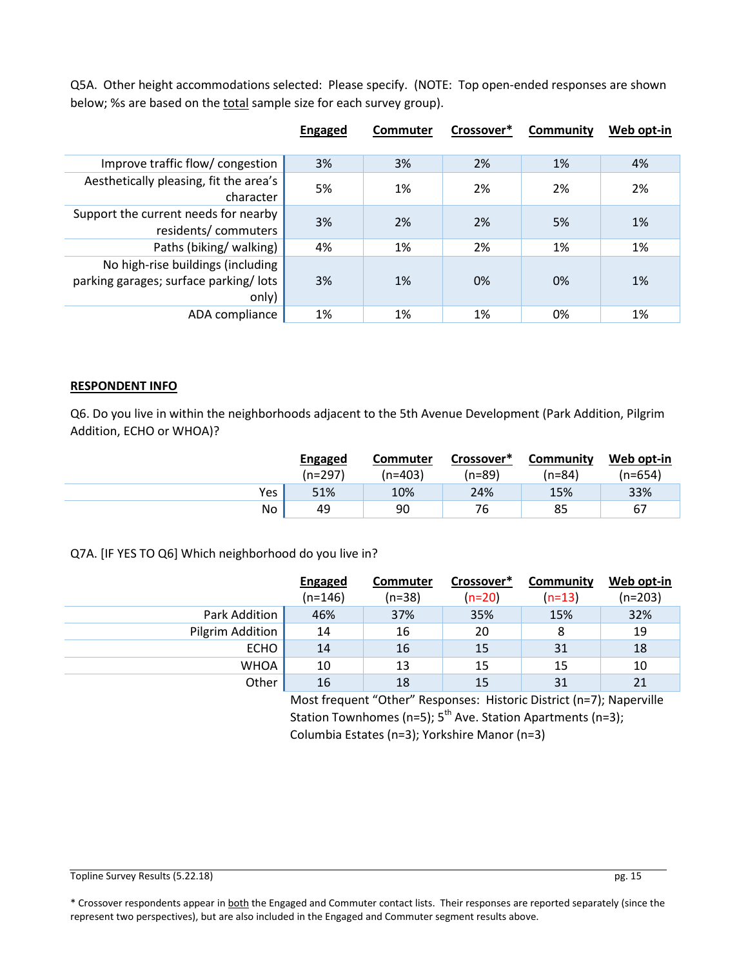Q5A. Other height accommodations selected: Please specify. (NOTE: Top open-ended responses are shown below; %s are based on the total sample size for each survey group).

|                                                                                     | <b>Engaged</b> | Commuter | Crossover* | Community | Web opt-in |
|-------------------------------------------------------------------------------------|----------------|----------|------------|-----------|------------|
|                                                                                     |                |          |            |           |            |
| Improve traffic flow/ congestion                                                    | 3%             | 3%       | 2%         | 1%        | 4%         |
| Aesthetically pleasing, fit the area's<br>character                                 | 5%             | 1%       | 2%         | 2%        | 2%         |
| Support the current needs for nearby<br>residents/commuters                         | 3%             | 2%       | 2%         | 5%        | 1%         |
| Paths (biking/walking)                                                              | 4%             | 1%       | 2%         | 1%        | 1%         |
| No high-rise buildings (including<br>parking garages; surface parking/lots<br>only) | 3%             | 1%       | 0%         | 0%        | 1%         |
| ADA compliance                                                                      | 1%             | 1%       | 1%         | 0%        | 1%         |

#### **RESPONDENT INFO**

Q6. Do you live in within the neighborhoods adjacent to the 5th Avenue Development (Park Addition, Pilgrim Addition, ECHO or WHOA)?

|     | Engaged<br>$(n=297)$ | <b>Commuter</b><br>(n=403) | Crossover*<br>(n=89) | Community<br>(n=84) | Web opt-in<br>(n=654) |
|-----|----------------------|----------------------------|----------------------|---------------------|-----------------------|
| Yes | 51%                  | 10%                        | 24%                  | 15%                 | 33%                   |
| No  | 49                   | 90                         | 76                   | 85                  | 67                    |

Q7A. [IF YES TO Q6] Which neighborhood do you live in?

|                  | <b>Engaged</b> | <b>Commuter</b> | Crossover* | Community | Web opt-in |
|------------------|----------------|-----------------|------------|-----------|------------|
|                  | $(n=146)$      | $(n=38)$        | $(n=20)$   | $(n=13)$  | $(n=203)$  |
| Park Addition    | 46%            | 37%             | 35%        | 15%       | 32%        |
| Pilgrim Addition | 14             | 16              | 20         | 8         | 19         |
| <b>ECHO</b>      | 14             | 16              | 15         | 31        | 18         |
| <b>WHOA</b>      | 10             | 13              | 15         | 15        | 10         |
| Other            | 16             | 18              | 15         | 31        | 21         |

Most frequent "Other" Responses: Historic District (n=7); Naperville Station Townhomes (n=5);  $5^{th}$  Ave. Station Apartments (n=3); Columbia Estates (n=3); Yorkshire Manor (n=3)